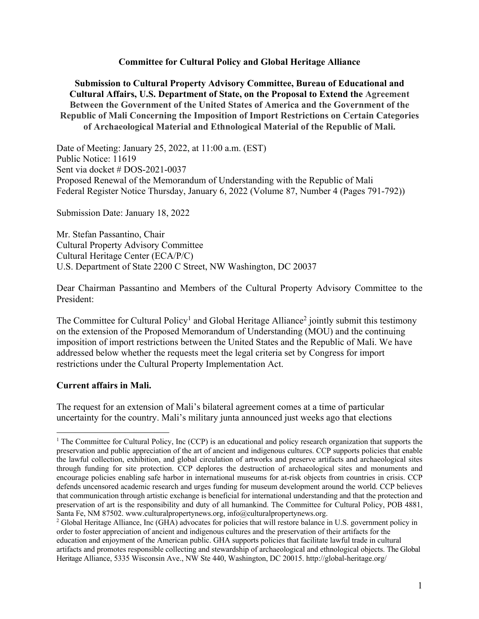#### **Committee for Cultural Policy and Global Heritage Alliance**

**Submission to Cultural Property Advisory Committee, Bureau of Educational and Cultural Affairs, U.S. Department of State, on the Proposal to Extend the Agreement Between the Government of the United States of America and the Government of the Republic of Mali Concerning the Imposition of Import Restrictions on Certain Categories of Archaeological Material and Ethnological Material of the Republic of Mali.**

Date of Meeting: January 25, 2022, at 11:00 a.m. (EST) Public Notice: 11619 Sent via docket # DOS-2021-0037 Proposed Renewal of the Memorandum of Understanding with the Republic of Mali Federal Register Notice Thursday, January 6, 2022 (Volume 87, Number 4 (Pages 791-792))

Submission Date: January 18, 2022

Mr. Stefan Passantino, Chair Cultural Property Advisory Committee Cultural Heritage Center (ECA/P/C) U.S. Department of State 2200 C Street, NW Washington, DC 20037

Dear Chairman Passantino and Members of the Cultural Property Advisory Committee to the President:

The Committee for Cultural Policy<sup>1</sup> and Global Heritage Alliance<sup>2</sup> jointly submit this testimony on the extension of the Proposed Memorandum of Understanding (MOU) and the continuing imposition of import restrictions between the United States and the Republic of Mali. We have addressed below whether the requests meet the legal criteria set by Congress for import restrictions under the Cultural Property Implementation Act.

## **Current affairs in Mali.**

The request for an extension of Mali's bilateral agreement comes at a time of particular uncertainty for the country. Mali's military junta announced just weeks ago that elections

<sup>1</sup> The Committee for Cultural Policy, Inc (CCP) is an educational and policy research organization that supports the preservation and public appreciation of the art of ancient and indigenous cultures. CCP supports policies that enable the lawful collection, exhibition, and global circulation of artworks and preserve artifacts and archaeological sites through funding for site protection. CCP deplores the destruction of archaeological sites and monuments and encourage policies enabling safe harbor in international museums for at-risk objects from countries in crisis. CCP defends uncensored academic research and urges funding for museum development around the world. CCP believes that communication through artistic exchange is beneficial for international understanding and that the protection and preservation of art is the responsibility and duty of all humankind. The Committee for Cultural Policy, POB 4881, Santa Fe, NM 87502. www.culturalpropertynews.org, info@culturalpropertynews.org.

<sup>2</sup> Global Heritage Alliance, Inc (GHA) advocates for policies that will restore balance in U.S. government policy in order to foster appreciation of ancient and indigenous cultures and the preservation of their artifacts for the education and enjoyment of the American public. GHA supports policies that facilitate lawful trade in cultural artifacts and promotes responsible collecting and stewardship of archaeological and ethnological objects. The Global Heritage Alliance, 5335 Wisconsin Ave., NW Ste 440, Washington, DC 20015. http://global-heritage.org/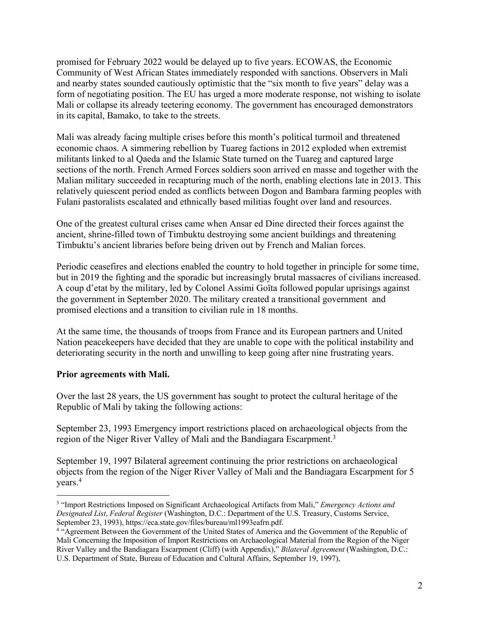promised for February 2022 would be delayed up to five years. ECOWAS, the Economic Community of West African States immediately responded with sanctions. Observers in Mali and nearby states sounded cautiously optimistic that the "six month to five years" delay was a form of negotiating position. The EU has urged a more moderate response, not wishing to isolate Mali or collapse its already teetering economy. The government has encouraged demonstrators in its capital, Bamako, to take to the streets.

Mali was already facing multiple crises before this month's political turmoil and threatened economic chaos. A simmering rebellion by Tuareg factions in 2012 exploded when extremist militants linked to al Qaeda and the Islamic State turned on the Tuareg and captured large sections of the north. French Armed Forces soldiers soon arrived en masse and together with the Malian military succeeded in recapturing much of the north, enabling elections late in 2013. This relatively quiescent period ended as conflicts between Dogon and Bambara farming peoples with Fulani pastoralists escalated and ethnically based militias fought over land and resources.

One of the greatest cultural crises came when Ansar ed Dine directed their forces against the ancient, shrine-filled town of Timbuktu destroying some ancient buildings and threatening Timbuktu's ancient libraries before being driven out by French and Malian forces.

Periodic ceasefires and elections enabled the country to hold together in principle for some time, but in 2019 the fighting and the sporadic but increasingly brutal massacres of civilians increased. A coup d'etat by the military, led by Colonel Assimi Goïta followed popular uprisings against the government in September 2020. The military created a transitional government and promised elections and a transition to civilian rule in 18 months.

At the same time, the thousands of troops from France and its European partners and United Nation peacekeepers have decided that they are unable to cope with the political instability and deteriorating security in the north and unwilling to keep going after nine frustrating years.

## **Prior agreements with Mali.**

Over the last 28 years, the US government has sought to protect the cultural heritage of the Republic of Mali by taking the following actions:

September 23, 1993 Emergency import restrictions placed on archaeological objects from the region of the Niger River Valley of Mali and the Bandiagara Escarpment.<sup>3</sup>

September 19, 1997 Bilateral agreement continuing the prior restrictions on archaeological objects from the region of the Niger River Valley of Mali and the Bandiagara Escarpment for 5 years.4

<sup>3</sup> "Import Restrictions Imposed on Significant Archaeological Artifacts from Mali," *Emergency Actions and Designated List*, *Federal Register* (Washington, D.C.: Department of the U.S. Treasury, Customs Service, September 23, 1993), https://eca.state.gov/files/bureau/ml1993eafrn.pdf.<br><sup>4</sup> "Agreement Between the Government of the United States of America and the Government of the Republic of

Mali Concerning the Imposition of Import Restrictions on Archaeological Material from the Region of the Niger River Valley and the Bandiagara Escarpment (Cliff) (with Appendix)," *Bilateral Agreement* (Washington, D.C.: U.S. Department of State, Bureau of Education and Cultural Affairs, September 19, 1997),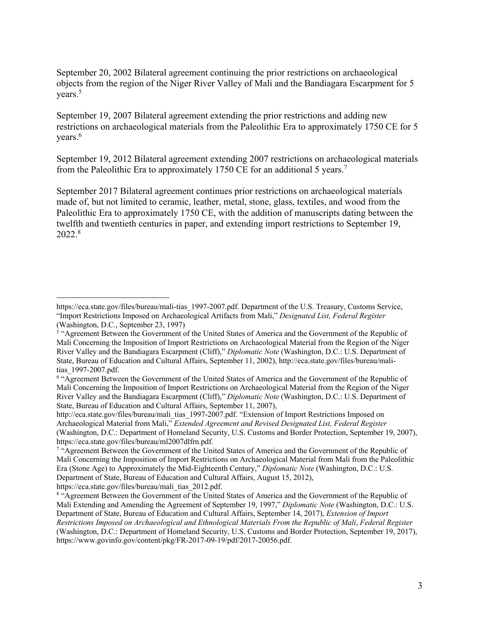September 20, 2002 Bilateral agreement continuing the prior restrictions on archaeological objects from the region of the Niger River Valley of Mali and the Bandiagara Escarpment for 5 years.<sup>5</sup>

September 19, 2007 Bilateral agreement extending the prior restrictions and adding new restrictions on archaeological materials from the Paleolithic Era to approximately 1750 CE for 5 years.<sup>6</sup>

September 19, 2012 Bilateral agreement extending 2007 restrictions on archaeological materials from the Paleolithic Era to approximately 1750 CE for an additional 5 years.<sup>7</sup>

September 2017 Bilateral agreement continues prior restrictions on archaeological materials made of, but not limited to ceramic, leather, metal, stone, glass, textiles, and wood from the Paleolithic Era to approximately 1750 CE, with the addition of manuscripts dating between the twelfth and twentieth centuries in paper, and extending import restrictions to September 19, 2022.8

https://eca.state.gov/files/bureau/mali-tias\_1997-2007.pdf. Department of the U.S. Treasury, Customs Service, "Import Restrictions Imposed on Archaeological Artifacts from Mali," *Designated List, Federal Register*  (Washington, D.C., September 23, 1997)

<sup>&</sup>lt;sup>5</sup> "Agreement Between the Government of the United States of America and the Government of the Republic of Mali Concerning the Imposition of Import Restrictions on Archaeological Material from the Region of the Niger River Valley and the Bandiagara Escarpment (Cliff)," *Diplomatic Note* (Washington, D.C.: U.S. Department of State, Bureau of Education and Cultural Affairs, September 11, 2002), http://eca.state.gov/files/bureau/malitias\_1997-2007.pdf.<br><sup>6</sup> "Agreement Between the Government of the United States of America and the Government of the Republic of

Mali Concerning the Imposition of Import Restrictions on Archaeological Material from the Region of the Niger River Valley and the Bandiagara Escarpment (Cliff)," *Diplomatic Note* (Washington, D.C.: U.S. Department of State, Bureau of Education and Cultural Affairs, September 11, 2007),

http://eca.state.gov/files/bureau/mali\_tias\_1997-2007.pdf. "Extension of Import Restrictions Imposed on Archaeological Material from Mali," *Extended Agreement and Revised Designated List, Federal Register*  (Washington, D.C.: Department of Homeland Security, U.S. Customs and Border Protection, September 19, 2007), https://eca.state.gov/files/bureau/ml2007dlfrn.pdf.

<sup>7</sup> "Agreement Between the Government of the United States of America and the Government of the Republic of Mali Concerning the Imposition of Import Restrictions on Archaeological Material from Mali from the Paleolithic Era (Stone Age) to Approximately the Mid-Eighteenth Century," *Diplomatic Note* (Washington, D.C.: U.S. Department of State, Bureau of Education and Cultural Affairs, August 15, 2012), https://eca.state.gov/files/bureau/mali\_tias\_2012.pdf.

<sup>&</sup>lt;sup>8</sup> "Agreement Between the Government of the United States of America and the Government of the Republic of Mali Extending and Amending the Agreement of September 19, 1997," *Diplomatic Note* (Washington, D.C.: U.S. Department of State, Bureau of Education and Cultural Affairs, September 14, 2017), *Extension of Import Restrictions Imposed on Archaeological and Ethnological Materials From the Republic of Mali*, *Federal Register*  (Washington, D.C.: Department of Homeland Security, U.S. Customs and Border Protection, September 19, 2017), https://www.govinfo.gov/content/pkg/FR-2017-09-19/pdf/2017-20056.pdf.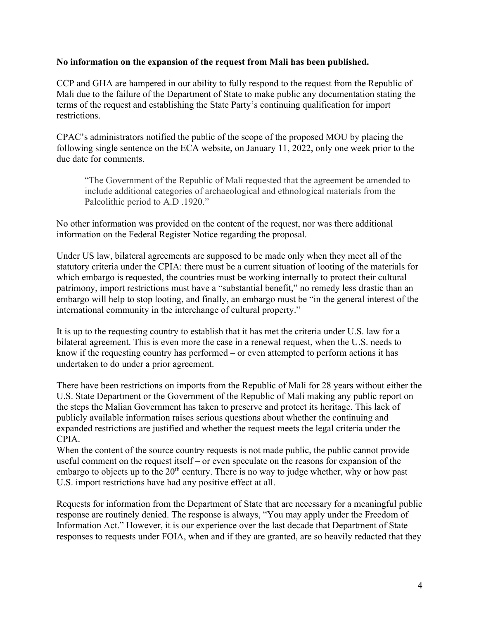#### **No information on the expansion of the request from Mali has been published.**

CCP and GHA are hampered in our ability to fully respond to the request from the Republic of Mali due to the failure of the Department of State to make public any documentation stating the terms of the request and establishing the State Party's continuing qualification for import restrictions.

CPAC's administrators notified the public of the scope of the proposed MOU by placing the following single sentence on the ECA website, on January 11, 2022, only one week prior to the due date for comments.

"The Government of the Republic of Mali requested that the agreement be amended to include additional categories of archaeological and ethnological materials from the Paleolithic period to A.D .1920."

No other information was provided on the content of the request, nor was there additional information on the Federal Register Notice regarding the proposal.

Under US law, bilateral agreements are supposed to be made only when they meet all of the statutory criteria under the CPIA: there must be a current situation of looting of the materials for which embargo is requested, the countries must be working internally to protect their cultural patrimony, import restrictions must have a "substantial benefit," no remedy less drastic than an embargo will help to stop looting, and finally, an embargo must be "in the general interest of the international community in the interchange of cultural property."

It is up to the requesting country to establish that it has met the criteria under U.S. law for a bilateral agreement. This is even more the case in a renewal request, when the U.S. needs to know if the requesting country has performed – or even attempted to perform actions it has undertaken to do under a prior agreement.

There have been restrictions on imports from the Republic of Mali for 28 years without either the U.S. State Department or the Government of the Republic of Mali making any public report on the steps the Malian Government has taken to preserve and protect its heritage. This lack of publicly available information raises serious questions about whether the continuing and expanded restrictions are justified and whether the request meets the legal criteria under the CPIA.

When the content of the source country requests is not made public, the public cannot provide useful comment on the request itself – or even speculate on the reasons for expansion of the embargo to objects up to the  $20<sup>th</sup>$  century. There is no way to judge whether, why or how past U.S. import restrictions have had any positive effect at all.

Requests for information from the Department of State that are necessary for a meaningful public response are routinely denied. The response is always, "You may apply under the Freedom of Information Act." However, it is our experience over the last decade that Department of State responses to requests under FOIA, when and if they are granted, are so heavily redacted that they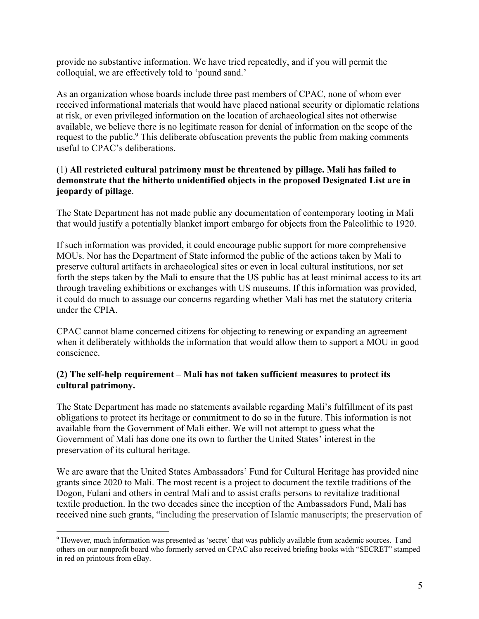provide no substantive information. We have tried repeatedly, and if you will permit the colloquial, we are effectively told to 'pound sand.'

As an organization whose boards include three past members of CPAC, none of whom ever received informational materials that would have placed national security or diplomatic relations at risk, or even privileged information on the location of archaeological sites not otherwise available, we believe there is no legitimate reason for denial of information on the scope of the request to the public.<sup>9</sup> This deliberate obfuscation prevents the public from making comments useful to CPAC's deliberations.

## (1) **All restricted cultural patrimony must be threatened by pillage. Mali has failed to demonstrate that the hitherto unidentified objects in the proposed Designated List are in jeopardy of pillage**.

The State Department has not made public any documentation of contemporary looting in Mali that would justify a potentially blanket import embargo for objects from the Paleolithic to 1920.

If such information was provided, it could encourage public support for more comprehensive MOUs. Nor has the Department of State informed the public of the actions taken by Mali to preserve cultural artifacts in archaeological sites or even in local cultural institutions, nor set forth the steps taken by the Mali to ensure that the US public has at least minimal access to its art through traveling exhibitions or exchanges with US museums. If this information was provided, it could do much to assuage our concerns regarding whether Mali has met the statutory criteria under the CPIA.

CPAC cannot blame concerned citizens for objecting to renewing or expanding an agreement when it deliberately withholds the information that would allow them to support a MOU in good conscience.

# **(2) The self-help requirement – Mali has not taken sufficient measures to protect its cultural patrimony.**

The State Department has made no statements available regarding Mali's fulfillment of its past obligations to protect its heritage or commitment to do so in the future. This information is not available from the Government of Mali either. We will not attempt to guess what the Government of Mali has done one its own to further the United States' interest in the preservation of its cultural heritage.

We are aware that the United States Ambassadors' Fund for Cultural Heritage has provided nine grants since 2020 to Mali. The most recent is a project to document the textile traditions of the Dogon, Fulani and others in central Mali and to assist crafts persons to revitalize traditional textile production. In the two decades since the inception of the Ambassadors Fund, Mali has received nine such grants, "including the preservation of Islamic manuscripts; the preservation of

<sup>9</sup> However, much information was presented as 'secret' that was publicly available from academic sources. I and others on our nonprofit board who formerly served on CPAC also received briefing books with "SECRET" stamped in red on printouts from eBay.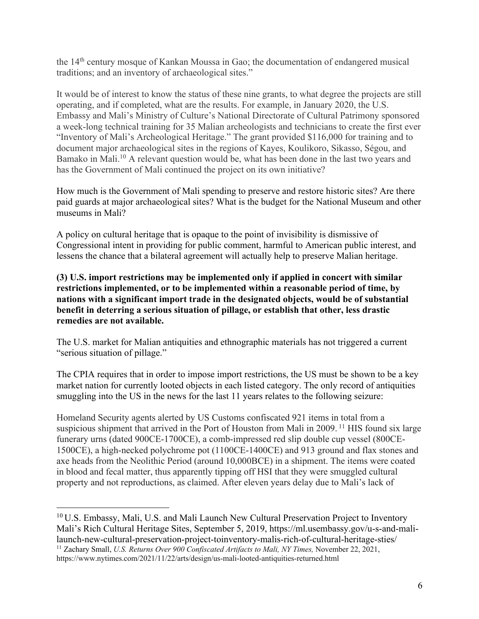the 14th century mosque of Kankan Moussa in Gao; the documentation of endangered musical traditions; and an inventory of archaeological sites."

It would be of interest to know the status of these nine grants, to what degree the projects are still operating, and if completed, what are the results. For example, in January 2020, the U.S. Embassy and Mali's Ministry of Culture's National Directorate of Cultural Patrimony sponsored a week-long technical training for 35 Malian archeologists and technicians to create the first ever "Inventory of Mali's Archeological Heritage." The grant provided \$116,000 for training and to document major archaeological sites in the regions of Kayes, Koulikoro, Sikasso, Ségou, and Bamako in Mali.<sup>10</sup> A relevant question would be, what has been done in the last two years and has the Government of Mali continued the project on its own initiative?

How much is the Government of Mali spending to preserve and restore historic sites? Are there paid guards at major archaeological sites? What is the budget for the National Museum and other museums in Mali?

A policy on cultural heritage that is opaque to the point of invisibility is dismissive of Congressional intent in providing for public comment, harmful to American public interest, and lessens the chance that a bilateral agreement will actually help to preserve Malian heritage.

**(3) U.S. import restrictions may be implemented only if applied in concert with similar restrictions implemented, or to be implemented within a reasonable period of time, by nations with a significant import trade in the designated objects, would be of substantial benefit in deterring a serious situation of pillage, or establish that other, less drastic remedies are not available.**

The U.S. market for Malian antiquities and ethnographic materials has not triggered a current "serious situation of pillage."

The CPIA requires that in order to impose import restrictions, the US must be shown to be a key market nation for currently looted objects in each listed category. The only record of antiquities smuggling into the US in the news for the last 11 years relates to the following seizure:

Homeland Security agents alerted by US Customs confiscated 921 items in total from a suspicious shipment that arrived in the Port of Houston from Mali in 2009.<sup>11</sup> HIS found six large funerary urns (dated 900CE-1700CE), a comb-impressed red slip double cup vessel (800CE-1500CE), a high-necked polychrome pot (1100CE-1400CE) and 913 ground and flax stones and axe heads from the Neolithic Period (around 10,000BCE) in a shipment. The items were coated in blood and fecal matter, thus apparently tipping off HSI that they were smuggled cultural property and not reproductions, as claimed. After eleven years delay due to Mali's lack of

<sup>&</sup>lt;sup>10</sup> U.S. Embassy, Mali, U.S. and Mali Launch New Cultural Preservation Project to Inventory Mali's Rich Cultural Heritage Sites, September 5, 2019, https://ml.usembassy.gov/u-s-and-malilaunch-new-cultural-preservation-project-toinventory-malis-rich-of-cultural-heritage-sties/ <sup>11</sup> Zachary Small, *U.S. Returns Over 900 Confiscated Artifacts to Mali, NY Times, November 22, 2021,* https://www.nytimes.com/2021/11/22/arts/design/us-mali-looted-antiquities-returned.html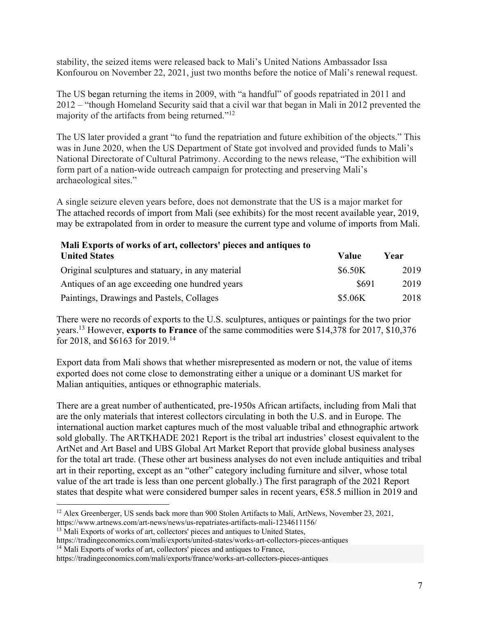stability, the seized items were released back to Mali's United Nations Ambassador Issa Konfourou on November 22, 2021, just two months before the notice of Mali's renewal request.

The US began returning the items in 2009, with "a handful" of goods repatriated in 2011 and 2012 – "though Homeland Security said that a civil war that began in Mali in 2012 prevented the majority of the artifacts from being returned."<sup>12</sup>

The US later provided a grant "to fund the repatriation and future exhibition of the objects." This was in June 2020, when the US Department of State got involved and provided funds to Mali's National Directorate of Cultural Patrimony. According to the news release, "The exhibition will form part of a nation-wide outreach campaign for protecting and preserving Mali's archaeological sites."

A single seizure eleven years before, does not demonstrate that the US is a major market for The attached records of import from Mali (see exhibits) for the most recent available year, 2019, may be extrapolated from in order to measure the current type and volume of imports from Mali.

| Mali Exports of works of art, collectors' pieces and antiques to |         |      |  |
|------------------------------------------------------------------|---------|------|--|
| <b>United States</b>                                             | Value   | Year |  |
| Original sculptures and statuary, in any material                | \$6.50K | 2019 |  |
| Antiques of an age exceeding one hundred years                   | \$691   | 2019 |  |
| Paintings, Drawings and Pastels, Collages                        | \$5.06K | 2018 |  |

There were no records of exports to the U.S. sculptures, antiques or paintings for the two prior years.13 However, **exports to France** of the same commodities were \$14,378 for 2017, \$10,376 for 2018, and \$6163 for 2019.14

Export data from Mali shows that whether misrepresented as modern or not, the value of items exported does not come close to demonstrating either a unique or a dominant US market for Malian antiquities, antiques or ethnographic materials.

There are a great number of authenticated, pre-1950s African artifacts, including from Mali that are the only materials that interest collectors circulating in both the U.S. and in Europe. The international auction market captures much of the most valuable tribal and ethnographic artwork sold globally. The ARTKHADE 2021 Report is the tribal art industries' closest equivalent to the ArtNet and Art Basel and UBS Global Art Market Report that provide global business analyses for the total art trade. (These other art business analyses do not even include antiquities and tribal art in their reporting, except as an "other" category including furniture and silver, whose total value of the art trade is less than one percent globally.) The first paragraph of the 2021 Report states that despite what were considered bumper sales in recent years,  $\epsilon$ 58.5 million in 2019 and

<sup>&</sup>lt;sup>12</sup> Alex Greenberger, US sends back more than 900 Stolen Artifacts to Mali, ArtNews, November 23, 2021, https://www.artnews.com/art-news/news/us-repatriates-artifacts-mali-1234611156/

<sup>&</sup>lt;sup>13</sup> Mali Exports of works of art, collectors' pieces and antiques to United States,

https://tradingeconomics.com/mali/exports/united-states/works-art-collectors-pieces-antiques

<sup>&</sup>lt;sup>14</sup> Mali Exports of works of art, collectors' pieces and antiques to France,

https://tradingeconomics.com/mali/exports/france/works-art-collectors-pieces-antiques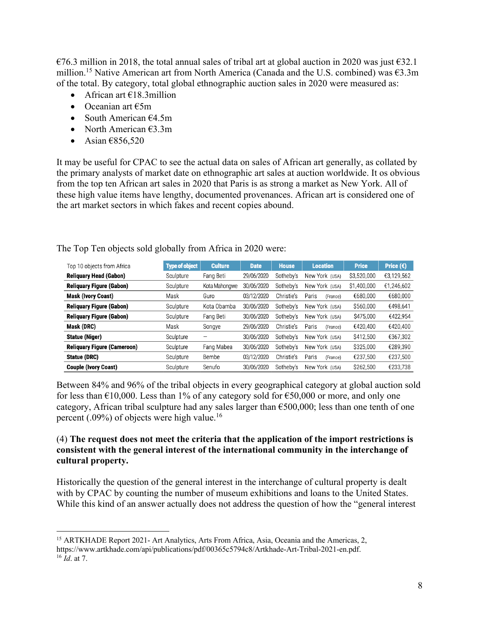€76.3 million in 2018, the total annual sales of tribal art at global auction in 2020 was just €32.1 million. <sup>15</sup> Native American art from North America (Canada and the U.S. combined) was €3.3m of the total. By category, total global ethnographic auction sales in 2020 were measured as:

- African art  $£18.3$ million
- Oceanian art  $\epsilon$ 5m
- South American  $64.5m$
- North American  $63.3m$
- Asian  $\epsilon$ 856,520

It may be useful for CPAC to see the actual data on sales of African art generally, as collated by the primary analysts of market date on ethnographic art sales at auction worldwide. It os obvious from the top ten African art sales in 2020 that Paris is as strong a market as New York. All of these high value items have lengthy, documented provenances. African art is considered one of the art market sectors in which fakes and recent copies abound.

| Top 10 objects from Africa         | <b>Type of object</b> | <b>Culture</b> | <b>Date</b> | <b>House</b> | <b>Location</b>   | <b>Price</b> | Price $(\epsilon)$ |
|------------------------------------|-----------------------|----------------|-------------|--------------|-------------------|--------------|--------------------|
| <b>Reliquary Head (Gabon)</b>      | Sculpture             | Fang Beti      | 29/06/2020  | Sotheby's    | New York (USA)    | \$3,520,000  | €3,129,562         |
| <b>Reliquary Figure (Gabon)</b>    | Sculpture             | Kota Mahongwe  | 30/06/2020  | Sotheby's    | New York (USA)    | \$1,400,000  | €1,246,602         |
| <b>Mask (Ivory Coast)</b>          | Mask                  | Guro           | 03/12/2020  | Christie's   | Paris<br>(France) | €680.000     | €680,000           |
| <b>Reliquary Figure (Gabon)</b>    | Sculpture             | Kota Obamba    | 30/06/2020  | Sotheby's    | New York (USA)    | \$560,000    | €498.641           |
| <b>Reliquary Figure (Gabon)</b>    | Sculpture             | Fang Beti      | 30/06/2020  | Sotheby's    | New York (USA)    | \$475,000    | €422,954           |
| Mask (DRC)                         | Mask                  | Songye         | 29/06/2020  | Christie's   | Paris<br>(France) | €420,400     | €420,400           |
| <b>Statue (Niger)</b>              | Sculpture             |                | 30/06/2020  | Sotheby's    | New York (USA)    | \$412,500    | €367,302           |
| <b>Reliquary Figure (Cameroon)</b> | Sculpture             | Fang Mabea     | 30/06/2020  | Sotheby's    | New York (USA)    | \$325,000    | €289,390           |
| Statue (DRC)                       | Sculpture             | Bembe          | 03/12/2020  | Christie's   | Paris<br>(France) | €237,500     | €237.500           |
| <b>Couple (Ivory Coast)</b>        | Sculpture             | Senufo         | 30/06/2020  | Sotheby's    | New York (USA)    | \$262,500    | €233.738           |

The Top Ten objects sold globally from Africa in 2020 were:

Between 84% and 96% of the tribal objects in every geographical category at global auction sold for less than  $\text{\textsterling}10,000$ . Less than 1% of any category sold for  $\text{\textsterling}50,000$  or more, and only one category, African tribal sculpture had any sales larger than  $\epsilon$ 500,000; less than one tenth of one percent (.09%) of objects were high value.16

# (4) **The request does not meet the criteria that the application of the import restrictions is consistent with the general interest of the international community in the interchange of cultural property.**

Historically the question of the general interest in the interchange of cultural property is dealt with by CPAC by counting the number of museum exhibitions and loans to the United States. While this kind of an answer actually does not address the question of how the "general interest

<sup>&</sup>lt;sup>15</sup> ARTKHADE Report 2021- Art Analytics, Arts From Africa, Asia, Oceania and the Americas, 2, https://www.artkhade.com/api/publications/pdf/00365c5794c8/Artkhade-Art-Tribal-2021-en.pdf. <sup>16</sup> *Id*. at 7.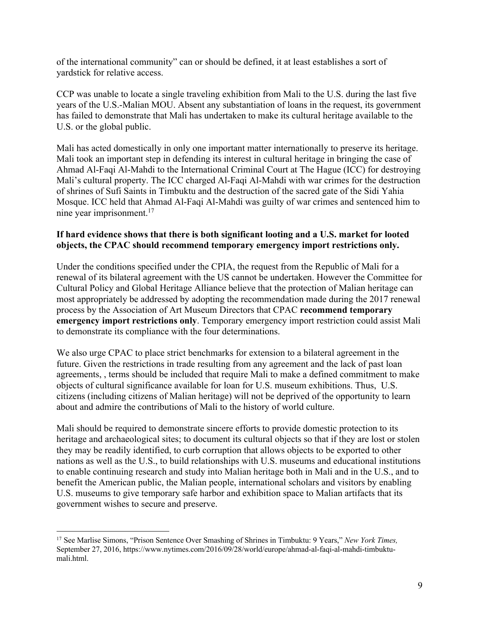of the international community" can or should be defined, it at least establishes a sort of yardstick for relative access.

CCP was unable to locate a single traveling exhibition from Mali to the U.S. during the last five years of the U.S.-Malian MOU. Absent any substantiation of loans in the request, its government has failed to demonstrate that Mali has undertaken to make its cultural heritage available to the U.S. or the global public.

Mali has acted domestically in only one important matter internationally to preserve its heritage. Mali took an important step in defending its interest in cultural heritage in bringing the case of Ahmad Al-Faqi Al-Mahdi to the International Criminal Court at The Hague (ICC) for destroying Mali's cultural property. The ICC charged Al-Faqi Al-Mahdi with war crimes for the destruction of shrines of Sufi Saints in Timbuktu and the destruction of the sacred gate of the Sidi Yahia Mosque. ICC held that Ahmad Al-Faqi Al-Mahdi was guilty of war crimes and sentenced him to nine year imprisonment.<sup>17</sup>

#### **If hard evidence shows that there is both significant looting and a U.S. market for looted objects, the CPAC should recommend temporary emergency import restrictions only.**

Under the conditions specified under the CPIA, the request from the Republic of Mali for a renewal of its bilateral agreement with the US cannot be undertaken. However the Committee for Cultural Policy and Global Heritage Alliance believe that the protection of Malian heritage can most appropriately be addressed by adopting the recommendation made during the 2017 renewal process by the Association of Art Museum Directors that CPAC **recommend temporary emergency import restrictions only**. Temporary emergency import restriction could assist Mali to demonstrate its compliance with the four determinations.

We also urge CPAC to place strict benchmarks for extension to a bilateral agreement in the future. Given the restrictions in trade resulting from any agreement and the lack of past loan agreements, , terms should be included that require Mali to make a defined commitment to make objects of cultural significance available for loan for U.S. museum exhibitions. Thus, U.S. citizens (including citizens of Malian heritage) will not be deprived of the opportunity to learn about and admire the contributions of Mali to the history of world culture.

Mali should be required to demonstrate sincere efforts to provide domestic protection to its heritage and archaeological sites; to document its cultural objects so that if they are lost or stolen they may be readily identified, to curb corruption that allows objects to be exported to other nations as well as the U.S., to build relationships with U.S. museums and educational institutions to enable continuing research and study into Malian heritage both in Mali and in the U.S., and to benefit the American public, the Malian people, international scholars and visitors by enabling U.S. museums to give temporary safe harbor and exhibition space to Malian artifacts that its government wishes to secure and preserve.

<sup>17</sup> See Marlise Simons, "Prison Sentence Over Smashing of Shrines in Timbuktu: 9 Years," *New York Times,*  September 27, 2016, https://www.nytimes.com/2016/09/28/world/europe/ahmad-al-faqi-al-mahdi-timbuktumali.html.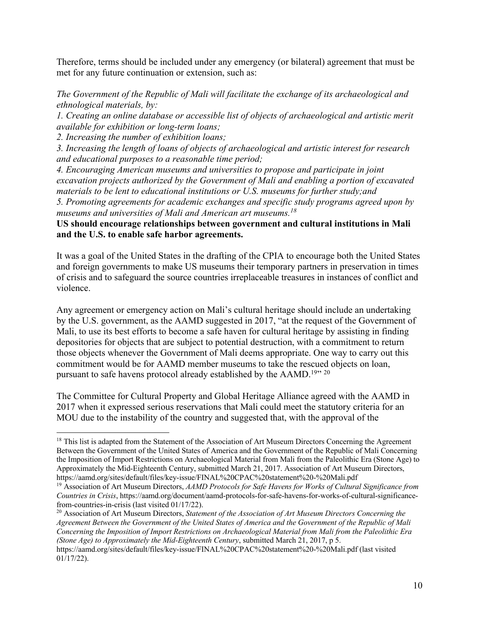Therefore, terms should be included under any emergency (or bilateral) agreement that must be met for any future continuation or extension, such as:

*The Government of the Republic of Mali will facilitate the exchange of its archaeological and ethnological materials, by:* 

*1. Creating an online database or accessible list of objects of archaeological and artistic merit available for exhibition or long-term loans;* 

*2. Increasing the number of exhibition loans;* 

*3. Increasing the length of loans of objects of archaeological and artistic interest for research and educational purposes to a reasonable time period;*

*4. Encouraging American museums and universities to propose and participate in joint excavation projects authorized by the Government of Mali and enabling a portion of excavated materials to be lent to educational institutions or U.S. museums for further study;and*

*5. Promoting agreements for academic exchanges and specific study programs agreed upon by museums and universities of Mali and American art museums.18*

#### **US should encourage relationships between government and cultural institutions in Mali and the U.S. to enable safe harbor agreements.**

It was a goal of the United States in the drafting of the CPIA to encourage both the United States and foreign governments to make US museums their temporary partners in preservation in times of crisis and to safeguard the source countries irreplaceable treasures in instances of conflict and violence.

Any agreement or emergency action on Mali's cultural heritage should include an undertaking by the U.S. government, as the AAMD suggested in 2017, "at the request of the Government of Mali, to use its best efforts to become a safe haven for cultural heritage by assisting in finding depositories for objects that are subject to potential destruction, with a commitment to return those objects whenever the Government of Mali deems appropriate. One way to carry out this commitment would be for AAMD member museums to take the rescued objects on loan, pursuant to safe havens protocol already established by the  $AAMD$ <sup>19</sup><sup>20</sup>

The Committee for Cultural Property and Global Heritage Alliance agreed with the AAMD in 2017 when it expressed serious reservations that Mali could meet the statutory criteria for an MOU due to the instability of the country and suggested that, with the approval of the

*Agreement Between the Government of the United States of America and the Government of the Republic of Mali Concerning the Imposition of Import Restrictions on Archaeological Material from Mali from the Paleolithic Era (Stone Age) to Approximately the Mid-Eighteenth Century*, submitted March 21, 2017, p 5.

<sup>&</sup>lt;sup>18</sup> This list is adapted from the Statement of the Association of Art Museum Directors Concerning the Agreement Between the Government of the United States of America and the Government of the Republic of Mali Concerning the Imposition of Import Restrictions on Archaeological Material from Mali from the Paleolithic Era (Stone Age) to Approximately the Mid-Eighteenth Century, submitted March 21, 2017. Association of Art Museum Directors, https://aamd.org/sites/default/files/key-issue/FINAL%20CPAC%20statement%20-%20Mali.pdf

<sup>19</sup> Association of Art Museum Directors, *AAMD Protocols for Safe Havens for Works of Cultural Significance from Countries in Crisis*, https://aamd.org/document/aamd-protocols-for-safe-havens-for-works-of-cultural-significancefrom-countries-in-crisis (last visited 01/17/22).<br><sup>20</sup> Association of Art Museum Directors, *Statement of the Association of Art Museum Directors Concerning the* 

https://aamd.org/sites/default/files/key-issue/FINAL%20CPAC%20statement%20-%20Mali.pdf (last visited 01/17/22).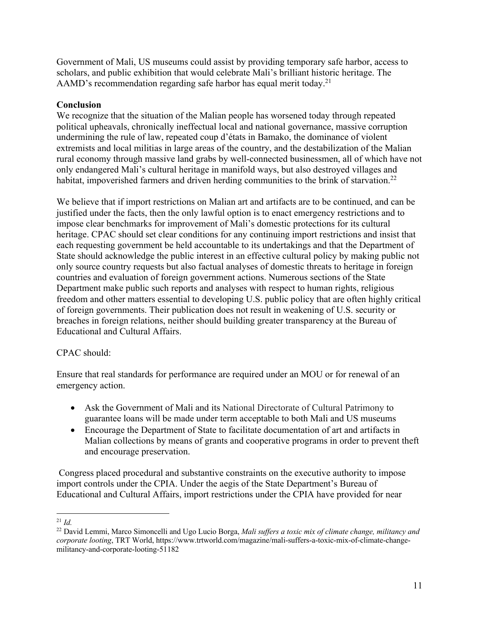Government of Mali, US museums could assist by providing temporary safe harbor, access to scholars, and public exhibition that would celebrate Mali's brilliant historic heritage. The AAMD's recommendation regarding safe harbor has equal merit today.<sup>21</sup>

# **Conclusion**

We recognize that the situation of the Malian people has worsened today through repeated political upheavals, chronically ineffectual local and national governance, massive corruption undermining the rule of law, repeated coup d'états in Bamako, the dominance of violent extremists and local militias in large areas of the country, and the destabilization of the Malian rural economy through massive land grabs by well-connected businessmen, all of which have not only endangered Mali's cultural heritage in manifold ways, but also destroyed villages and habitat, impoverished farmers and driven herding communities to the brink of starvation.<sup>22</sup>

We believe that if import restrictions on Malian art and artifacts are to be continued, and can be justified under the facts, then the only lawful option is to enact emergency restrictions and to impose clear benchmarks for improvement of Mali's domestic protections for its cultural heritage. CPAC should set clear conditions for any continuing import restrictions and insist that each requesting government be held accountable to its undertakings and that the Department of State should acknowledge the public interest in an effective cultural policy by making public not only source country requests but also factual analyses of domestic threats to heritage in foreign countries and evaluation of foreign government actions. Numerous sections of the State Department make public such reports and analyses with respect to human rights, religious freedom and other matters essential to developing U.S. public policy that are often highly critical of foreign governments. Their publication does not result in weakening of U.S. security or breaches in foreign relations, neither should building greater transparency at the Bureau of Educational and Cultural Affairs.

## CPAC should:

Ensure that real standards for performance are required under an MOU or for renewal of an emergency action.

- Ask the Government of Mali and its National Directorate of Cultural Patrimony to guarantee loans will be made under term acceptable to both Mali and US museums
- Encourage the Department of State to facilitate documentation of art and artifacts in Malian collections by means of grants and cooperative programs in order to prevent theft and encourage preservation.

Congress placed procedural and substantive constraints on the executive authority to impose import controls under the CPIA. Under the aegis of the State Department's Bureau of Educational and Cultural Affairs, import restrictions under the CPIA have provided for near

<sup>21</sup> *Id.*

<sup>22</sup> David Lemmi, Marco Simoncelli and Ugo Lucio Borga, *Mali suffers a toxic mix of climate change, militancy and corporate looting*, TRT World, https://www.trtworld.com/magazine/mali-suffers-a-toxic-mix-of-climate-changemilitancy-and-corporate-looting-51182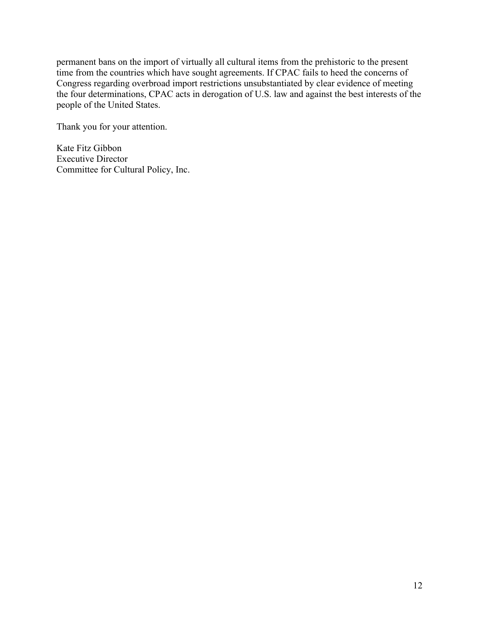permanent bans on the import of virtually all cultural items from the prehistoric to the present time from the countries which have sought agreements. If CPAC fails to heed the concerns of Congress regarding overbroad import restrictions unsubstantiated by clear evidence of meeting the four determinations, CPAC acts in derogation of U.S. law and against the best interests of the people of the United States.

Thank you for your attention.

Kate Fitz Gibbon Executive Director Committee for Cultural Policy, Inc.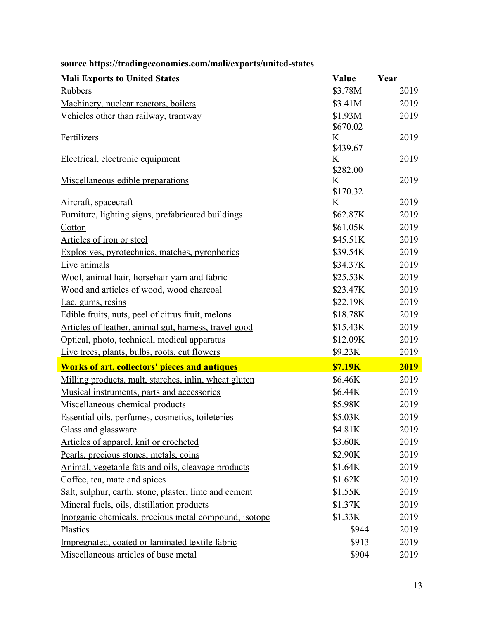| <b>Mali Exports to United States</b>                  | Value          | Year |
|-------------------------------------------------------|----------------|------|
| <b>Rubbers</b>                                        | \$3.78M        | 2019 |
| Machinery, nuclear reactors, boilers                  | \$3.41M        | 2019 |
| Vehicles other than railway, tramway                  | \$1.93M        | 2019 |
|                                                       | \$670.02       |      |
| Fertilizers                                           | K              | 2019 |
|                                                       | \$439.67       |      |
| Electrical, electronic equipment                      | K<br>\$282.00  | 2019 |
| Miscellaneous edible preparations                     | K              | 2019 |
|                                                       | \$170.32       |      |
| Aircraft, spacecraft                                  | K              | 2019 |
| Furniture, lighting signs, prefabricated buildings    | \$62.87K       | 2019 |
| Cotton                                                | \$61.05K       | 2019 |
| Articles of iron or steel                             | \$45.51K       | 2019 |
| Explosives, pyrotechnics, matches, pyrophorics        | \$39.54K       | 2019 |
| Live animals                                          | \$34.37K       | 2019 |
| Wool, animal hair, horsehair yarn and fabric          | \$25.53K       | 2019 |
| Wood and articles of wood, wood charcoal              | \$23.47K       | 2019 |
| Lac, gums, resins                                     | \$22.19K       | 2019 |
| Edible fruits, nuts, peel of citrus fruit, melons     | \$18.78K       | 2019 |
| Articles of leather, animal gut, harness, travel good | \$15.43K       | 2019 |
| Optical, photo, technical, medical apparatus          | \$12.09K       | 2019 |
| Live trees, plants, bulbs, roots, cut flowers         | \$9.23K        | 2019 |
| <b>Works of art, collectors' pieces and antiques</b>  | <b>\$7.19K</b> | 2019 |
| Milling products, malt, starches, inlin, wheat gluten | \$6.46K        | 2019 |
| Musical instruments, parts and accessories            | \$6.44K        | 2019 |
| Miscellaneous chemical products                       | \$5.98K        | 2019 |
| Essential oils, perfumes, cosmetics, toileteries      | \$5.03K        | 2019 |
| Glass and glassware                                   | \$4.81K        | 2019 |
| Articles of apparel, knit or crocheted                | \$3.60K        | 2019 |
| Pearls, precious stones, metals, coins                | \$2.90K        | 2019 |
| Animal, vegetable fats and oils, cleavage products    | \$1.64K        | 2019 |
| Coffee, tea, mate and spices                          | \$1.62K        | 2019 |
| Salt, sulphur, earth, stone, plaster, lime and cement | \$1.55K        | 2019 |
| Mineral fuels, oils, distillation products            | \$1.37K        | 2019 |
| Inorganic chemicals, precious metal compound, isotope | \$1.33K        | 2019 |
| Plastics                                              | \$944          | 2019 |
| Impregnated, coated or laminated textile fabric       | \$913          | 2019 |
| Miscellaneous articles of base metal                  | \$904          | 2019 |

# **source https://tradingeconomics.com/mali/exports/united-states**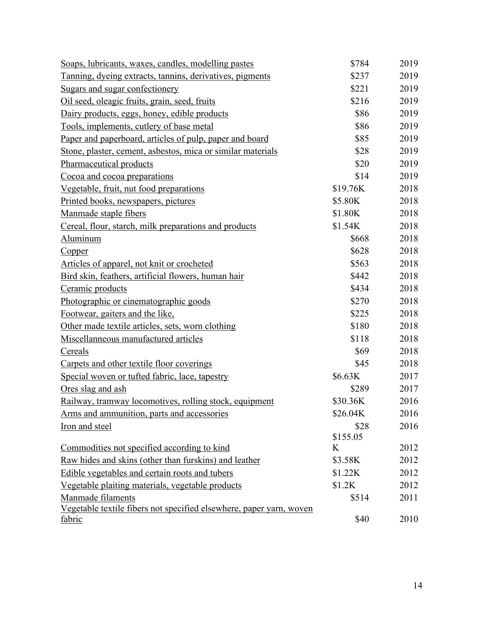| Soaps, lubricants, waxes, candles, modelling pastes                                  | \$784    | 2019 |
|--------------------------------------------------------------------------------------|----------|------|
| Tanning, dyeing extracts, tannins, derivatives, pigments                             | \$237    | 2019 |
| Sugars and sugar confectionery                                                       | \$221    | 2019 |
| Oil seed, oleagic fruits, grain, seed, fruits                                        | \$216    | 2019 |
| Dairy products, eggs, honey, edible products                                         | \$86     | 2019 |
| Tools, implements, cutlery of base metal                                             | \$86     | 2019 |
| Paper and paperboard, articles of pulp, paper and board                              | \$85     | 2019 |
| Stone, plaster, cement, asbestos, mica or similar materials                          | \$28     | 2019 |
| Pharmaceutical products                                                              | \$20     | 2019 |
| Cocoa and cocoa preparations                                                         | \$14     | 2019 |
| Vegetable, fruit, nut food preparations                                              | \$19.76K | 2018 |
| Printed books, newspapers, pictures                                                  | \$5.80K  | 2018 |
| Manmade staple fibers                                                                | \$1.80K  | 2018 |
| Cereal, flour, starch, milk preparations and products                                | \$1.54K  | 2018 |
| Aluminum                                                                             | \$668    | 2018 |
| Copper                                                                               | \$628    | 2018 |
| Articles of apparel, not knit or crocheted                                           | \$563    | 2018 |
| Bird skin, feathers, artificial flowers, human hair                                  | \$442    | 2018 |
| Ceramic products                                                                     | \$434    | 2018 |
| Photographic or cinematographic goods                                                | \$270    | 2018 |
| Footwear, gaiters and the like,                                                      | \$225    | 2018 |
| Other made textile articles, sets, worn clothing                                     | \$180    | 2018 |
| Miscellanneous manufactured articles                                                 | \$118    | 2018 |
| Cereals                                                                              | \$69     | 2018 |
| Carpets and other textile floor coverings                                            | \$45     | 2018 |
| Special woven or tufted fabric, lace, tapestry                                       | \$6.63K  | 2017 |
| Ores slag and ash                                                                    | \$289    | 2017 |
| <u>Railway, tramway locomotives, rolling stock, equipment</u>                        | \$30.36K | 2016 |
| Arms and ammunition, parts and accessories                                           | \$26.04K | 2016 |
| Iron and steel                                                                       | \$28     | 2016 |
|                                                                                      | \$155.05 |      |
| Commodities not specified according to kind                                          | K        | 2012 |
| Raw hides and skins (other than furskins) and leather                                | \$3.58K  | 2012 |
| Edible vegetables and certain roots and tubers                                       | \$1.22K  | 2012 |
| Vegetable plaiting materials, vegetable products                                     | \$1.2K   | 2012 |
| Manmade filaments                                                                    | \$514    | 2011 |
| Vegetable textile fibers not specified elsewhere, paper yarn, woven<br><u>fabric</u> | \$40     | 2010 |
|                                                                                      |          |      |